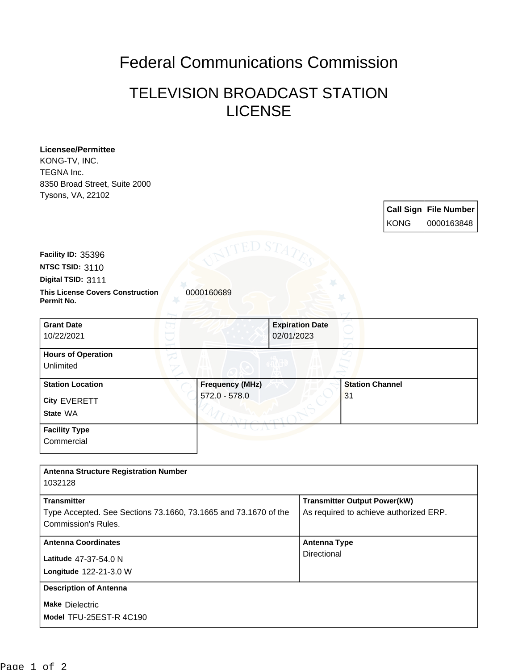## Federal Communications Commission

## TELEVISION BROADCAST STATION LICENSE

| <b>Licensee/Permittee</b><br>KONG-TV, INC.                      |                        |  |                                        |                                     |             |                              |
|-----------------------------------------------------------------|------------------------|--|----------------------------------------|-------------------------------------|-------------|------------------------------|
| TEGNA Inc.                                                      |                        |  |                                        |                                     |             |                              |
| 8350 Broad Street, Suite 2000                                   |                        |  |                                        |                                     |             |                              |
| Tysons, VA, 22102                                               |                        |  |                                        |                                     |             |                              |
|                                                                 |                        |  |                                        |                                     |             | <b>Call Sign File Number</b> |
|                                                                 |                        |  |                                        |                                     | <b>KONG</b> | 0000163848                   |
|                                                                 |                        |  |                                        |                                     |             |                              |
|                                                                 | ED S'                  |  |                                        |                                     |             |                              |
| Facility ID: 35396<br>NTSC TSID: 3110                           |                        |  |                                        |                                     |             |                              |
| Digital TSID: 3111                                              |                        |  |                                        |                                     |             |                              |
| <b>This License Covers Construction</b>                         | 0000160689             |  |                                        |                                     |             |                              |
| Permit No.                                                      |                        |  |                                        |                                     |             |                              |
| <b>Grant Date</b>                                               |                        |  | <b>Expiration Date</b>                 |                                     |             |                              |
| 10/22/2021                                                      |                        |  | 02/01/2023                             |                                     |             |                              |
| <b>Hours of Operation</b>                                       |                        |  |                                        |                                     |             |                              |
| Unlimited                                                       |                        |  |                                        |                                     |             |                              |
| <b>Station Location</b>                                         | <b>Frequency (MHz)</b> |  |                                        | <b>Station Channel</b>              |             |                              |
| City EVERETT                                                    | $572.0 - 578.0$        |  |                                        | 31                                  |             |                              |
| State WA                                                        |                        |  |                                        |                                     |             |                              |
| <b>Facility Type</b>                                            |                        |  |                                        |                                     |             |                              |
| Commercial                                                      |                        |  |                                        |                                     |             |                              |
|                                                                 |                        |  |                                        |                                     |             |                              |
| <b>Antenna Structure Registration Number</b><br>1032128         |                        |  |                                        |                                     |             |                              |
| <b>Transmitter</b>                                              |                        |  |                                        | <b>Transmitter Output Power(kW)</b> |             |                              |
| Type Accepted. See Sections 73.1660, 73.1665 and 73.1670 of the |                        |  | As required to achieve authorized ERP. |                                     |             |                              |
| Commission's Rules.                                             |                        |  |                                        |                                     |             |                              |
| <b>Antenna Coordinates</b>                                      |                        |  | <b>Antenna Type</b>                    |                                     |             |                              |
| Latitude 47-37-54.0 N                                           |                        |  | Directional                            |                                     |             |                              |
| Longitude 122-21-3.0 W                                          |                        |  |                                        |                                     |             |                              |
| <b>Description of Antenna</b>                                   |                        |  |                                        |                                     |             |                              |
| <b>Make Dielectric</b>                                          |                        |  |                                        |                                     |             |                              |
| Model TFU-25EST-R 4C190                                         |                        |  |                                        |                                     |             |                              |